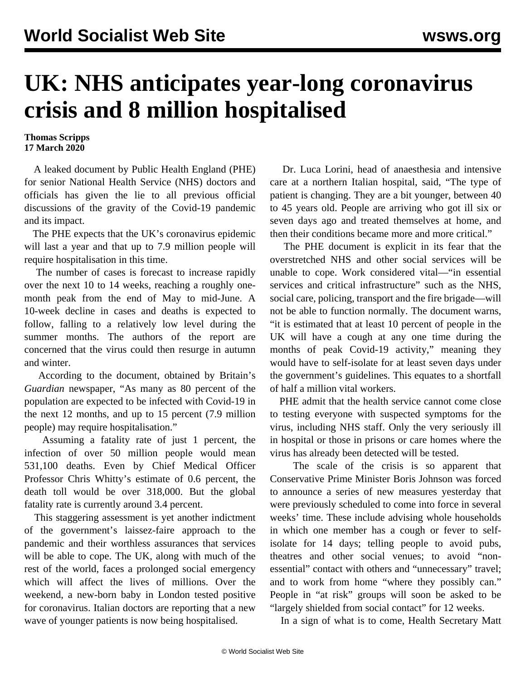## **UK: NHS anticipates year-long coronavirus crisis and 8 million hospitalised**

## **Thomas Scripps 17 March 2020**

 A leaked document by Public Health England (PHE) for senior National Health Service (NHS) doctors and officials has given the lie to all previous official discussions of the gravity of the Covid-19 pandemic and its impact.

 The PHE expects that the UK's coronavirus epidemic will last a year and that up to 7.9 million people will require hospitalisation in this time.

 The number of cases is forecast to increase rapidly over the next 10 to 14 weeks, reaching a roughly onemonth peak from the end of May to mid-June. A 10-week decline in cases and deaths is expected to follow, falling to a relatively low level during the summer months. The authors of the report are concerned that the virus could then resurge in autumn and winter.

 According to the document, obtained by Britain's *Guardian* newspaper, "As many as 80 percent of the population are expected to be infected with Covid-19 in the next 12 months, and up to 15 percent (7.9 million people) may require hospitalisation."

 Assuming a fatality rate of just 1 percent, the infection of over 50 million people would mean 531,100 deaths. Even by Chief Medical Officer Professor Chris Whitty's estimate of 0.6 percent, the death toll would be over 318,000. But the global fatality rate is currently around 3.4 percent.

 This staggering assessment is yet another indictment of the government's laissez-faire approach to the pandemic and their worthless assurances that services will be able to cope. The UK, along with much of the rest of the world, faces a prolonged social emergency which will affect the lives of millions. Over the weekend, a new-born baby in London tested positive for coronavirus. Italian doctors are reporting that a new wave of younger patients is now being hospitalised.

 Dr. Luca Lorini, head of anaesthesia and intensive care at a northern Italian hospital, said, "The type of patient is changing. They are a bit younger, between 40 to 45 years old. People are arriving who got ill six or seven days ago and treated themselves at home, and then their conditions became more and more critical."

 The PHE document is explicit in its fear that the overstretched NHS and other social services will be unable to cope. Work considered vital—"in essential services and critical infrastructure" such as the NHS, social care, policing, transport and the fire brigade—will not be able to function normally. The document warns, "it is estimated that at least 10 percent of people in the UK will have a cough at any one time during the months of peak Covid-19 activity," meaning they would have to self-isolate for at least seven days under the government's guidelines. This equates to a shortfall of half a million vital workers.

 PHE admit that the health service cannot come close to testing everyone with suspected symptoms for the virus, including NHS staff. Only the very seriously ill in hospital or those in prisons or care homes where the virus has already been detected will be tested.

 The scale of the crisis is so apparent that Conservative Prime Minister Boris Johnson was forced to announce a series of new measures yesterday that were previously scheduled to come into force in several weeks' time. These include advising whole households in which one member has a cough or fever to selfisolate for 14 days; telling people to avoid pubs, theatres and other social venues; to avoid "nonessential" contact with others and "unnecessary" travel; and to work from home "where they possibly can." People in "at risk" groups will soon be asked to be "largely shielded from social contact" for 12 weeks.

In a sign of what is to come, Health Secretary Matt